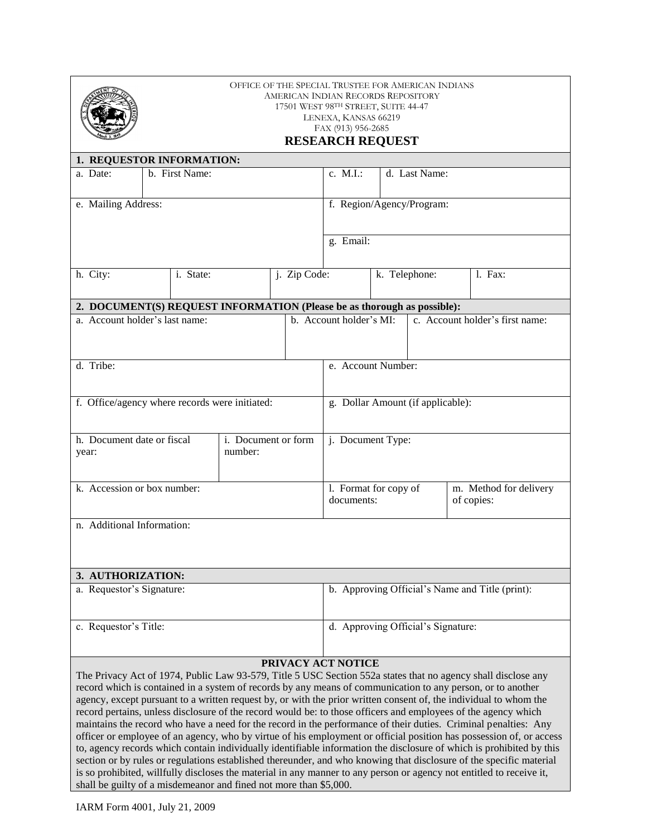|                                                                                                                                                                                                                                                                                                                                                                                                                                                                                                                                                                                                                                                                                                                                                                                                                                                                                                                                                                                                                                                                                                                                                           | OFFICE OF THE SPECIAL TRUSTEE FOR AMERICAN INDIANS<br>AMERICAN INDIAN RECORDS REPOSITORY<br>17501 WEST 98TH STREET, SUITE 44-47<br>LENEXA, KANSAS 66219<br>FAX (913) 956-2685<br><b>RESEARCH REQUEST</b> |                |  |              |  |                                                            |  |               |                                      |         |  |
|-----------------------------------------------------------------------------------------------------------------------------------------------------------------------------------------------------------------------------------------------------------------------------------------------------------------------------------------------------------------------------------------------------------------------------------------------------------------------------------------------------------------------------------------------------------------------------------------------------------------------------------------------------------------------------------------------------------------------------------------------------------------------------------------------------------------------------------------------------------------------------------------------------------------------------------------------------------------------------------------------------------------------------------------------------------------------------------------------------------------------------------------------------------|----------------------------------------------------------------------------------------------------------------------------------------------------------------------------------------------------------|----------------|--|--------------|--|------------------------------------------------------------|--|---------------|--------------------------------------|---------|--|
| 1. REQUESTOR INFORMATION:                                                                                                                                                                                                                                                                                                                                                                                                                                                                                                                                                                                                                                                                                                                                                                                                                                                                                                                                                                                                                                                                                                                                 |                                                                                                                                                                                                          |                |  |              |  |                                                            |  |               |                                      |         |  |
| a. Date:                                                                                                                                                                                                                                                                                                                                                                                                                                                                                                                                                                                                                                                                                                                                                                                                                                                                                                                                                                                                                                                                                                                                                  |                                                                                                                                                                                                          | b. First Name: |  |              |  |                                                            |  | d. Last Name: |                                      |         |  |
| e. Mailing Address:                                                                                                                                                                                                                                                                                                                                                                                                                                                                                                                                                                                                                                                                                                                                                                                                                                                                                                                                                                                                                                                                                                                                       |                                                                                                                                                                                                          |                |  |              |  | f. Region/Agency/Program:                                  |  |               |                                      |         |  |
|                                                                                                                                                                                                                                                                                                                                                                                                                                                                                                                                                                                                                                                                                                                                                                                                                                                                                                                                                                                                                                                                                                                                                           |                                                                                                                                                                                                          | g. Email:      |  |              |  |                                                            |  |               |                                      |         |  |
| h. City:                                                                                                                                                                                                                                                                                                                                                                                                                                                                                                                                                                                                                                                                                                                                                                                                                                                                                                                                                                                                                                                                                                                                                  | i. State:                                                                                                                                                                                                |                |  | j. Zip Code: |  |                                                            |  | k. Telephone: |                                      | 1. Fax: |  |
| 2. DOCUMENT(S) REQUEST INFORMATION (Please be as thorough as possible):                                                                                                                                                                                                                                                                                                                                                                                                                                                                                                                                                                                                                                                                                                                                                                                                                                                                                                                                                                                                                                                                                   |                                                                                                                                                                                                          |                |  |              |  |                                                            |  |               |                                      |         |  |
| a. Account holder's last name:                                                                                                                                                                                                                                                                                                                                                                                                                                                                                                                                                                                                                                                                                                                                                                                                                                                                                                                                                                                                                                                                                                                            |                                                                                                                                                                                                          |                |  |              |  | b. Account holder's MI:<br>c. Account holder's first name: |  |               |                                      |         |  |
| d. Tribe:                                                                                                                                                                                                                                                                                                                                                                                                                                                                                                                                                                                                                                                                                                                                                                                                                                                                                                                                                                                                                                                                                                                                                 |                                                                                                                                                                                                          |                |  |              |  | e. Account Number:                                         |  |               |                                      |         |  |
| f. Office/agency where records were initiated:                                                                                                                                                                                                                                                                                                                                                                                                                                                                                                                                                                                                                                                                                                                                                                                                                                                                                                                                                                                                                                                                                                            |                                                                                                                                                                                                          |                |  |              |  | g. Dollar Amount (if applicable):                          |  |               |                                      |         |  |
| h. Document date or fiscal<br>i. Document or form<br>number:<br>year:                                                                                                                                                                                                                                                                                                                                                                                                                                                                                                                                                                                                                                                                                                                                                                                                                                                                                                                                                                                                                                                                                     |                                                                                                                                                                                                          |                |  |              |  | j. Document Type:                                          |  |               |                                      |         |  |
| k. Accession or box number:                                                                                                                                                                                                                                                                                                                                                                                                                                                                                                                                                                                                                                                                                                                                                                                                                                                                                                                                                                                                                                                                                                                               |                                                                                                                                                                                                          |                |  |              |  | 1. Format for copy of<br>documents:                        |  |               | m. Method for delivery<br>of copies: |         |  |
| n. Additional Information:                                                                                                                                                                                                                                                                                                                                                                                                                                                                                                                                                                                                                                                                                                                                                                                                                                                                                                                                                                                                                                                                                                                                |                                                                                                                                                                                                          |                |  |              |  |                                                            |  |               |                                      |         |  |
| 3. AUTHORIZATION:                                                                                                                                                                                                                                                                                                                                                                                                                                                                                                                                                                                                                                                                                                                                                                                                                                                                                                                                                                                                                                                                                                                                         |                                                                                                                                                                                                          |                |  |              |  |                                                            |  |               |                                      |         |  |
| a. Requestor's Signature:                                                                                                                                                                                                                                                                                                                                                                                                                                                                                                                                                                                                                                                                                                                                                                                                                                                                                                                                                                                                                                                                                                                                 |                                                                                                                                                                                                          |                |  |              |  | b. Approving Official's Name and Title (print):            |  |               |                                      |         |  |
| c. Requestor's Title:                                                                                                                                                                                                                                                                                                                                                                                                                                                                                                                                                                                                                                                                                                                                                                                                                                                                                                                                                                                                                                                                                                                                     |                                                                                                                                                                                                          |                |  |              |  | d. Approving Official's Signature:                         |  |               |                                      |         |  |
| PRIVACY ACT NOTICE                                                                                                                                                                                                                                                                                                                                                                                                                                                                                                                                                                                                                                                                                                                                                                                                                                                                                                                                                                                                                                                                                                                                        |                                                                                                                                                                                                          |                |  |              |  |                                                            |  |               |                                      |         |  |
| The Privacy Act of 1974, Public Law 93-579, Title 5 USC Section 552a states that no agency shall disclose any<br>record which is contained in a system of records by any means of communication to any person, or to another<br>agency, except pursuant to a written request by, or with the prior written consent of, the individual to whom the<br>record pertains, unless disclosure of the record would be: to those officers and employees of the agency which<br>maintains the record who have a need for the record in the performance of their duties. Criminal penalties: Any<br>officer or employee of an agency, who by virtue of his employment or official position has possession of, or access<br>to, agency records which contain individually identifiable information the disclosure of which is prohibited by this<br>section or by rules or regulations established thereunder, and who knowing that disclosure of the specific material<br>is so prohibited, willfully discloses the material in any manner to any person or agency not entitled to receive it,<br>shall be guilty of a misdemeanor and fined not more than \$5,000. |                                                                                                                                                                                                          |                |  |              |  |                                                            |  |               |                                      |         |  |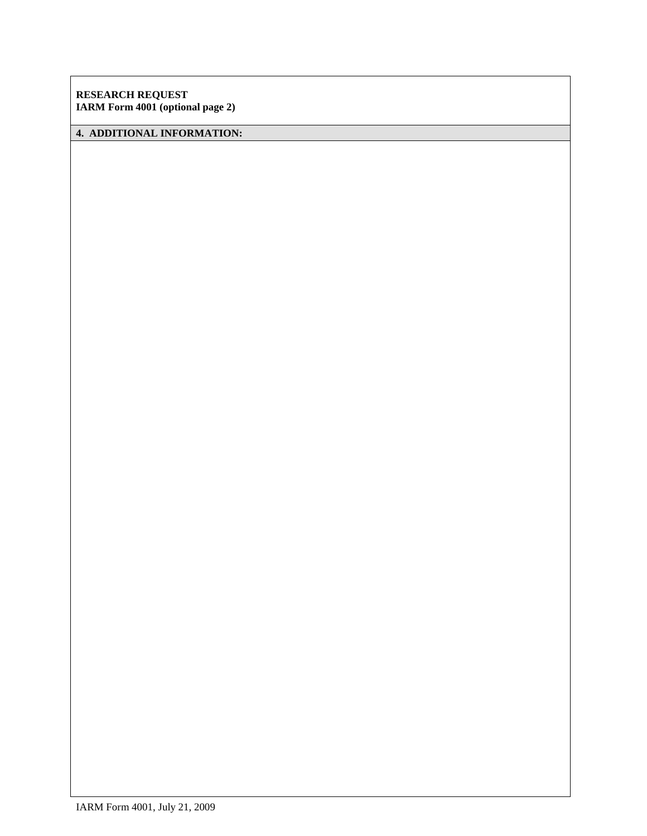**RESEARCH REQUEST IARM Form 4001 (optional page 2)**

# **4. ADDITIONAL INFORMATION:**